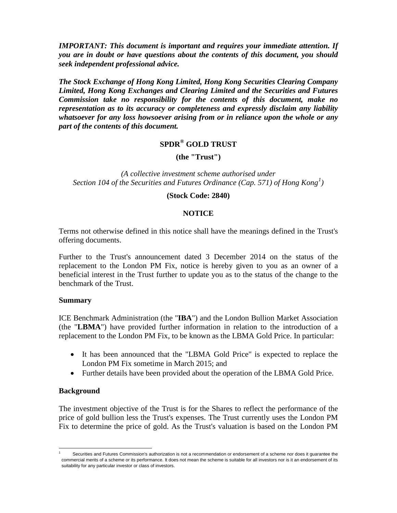*IMPORTANT: This document is important and requires your immediate attention. If you are in doubt or have questions about the contents of this document, you should seek independent professional advice.*

*The Stock Exchange of Hong Kong Limited, Hong Kong Securities Clearing Company Limited, Hong Kong Exchanges and Clearing Limited and the Securities and Futures Commission take no responsibility for the contents of this document, make no representation as to its accuracy or completeness and expressly disclaim any liability whatsoever for any loss howsoever arising from or in reliance upon the whole or any part of the contents of this document.*

# **SPDR® GOLD TRUST**

**(the "Trust")**

*(A collective investment scheme authorised under Section 104 of the Securities and Futures Ordinance (Cap. 571) of Hong Kong[1](#page-0-0) )*

#### **(Stock Code: 2840)**

### **NOTICE**

Terms not otherwise defined in this notice shall have the meanings defined in the Trust's offering documents.

Further to the Trust's announcement dated 3 December 2014 on the status of the replacement to the London PM Fix, notice is hereby given to you as an owner of a beneficial interest in the Trust further to update you as to the status of the change to the benchmark of the Trust.

#### **Summary**

ICE Benchmark Administration (the "**IBA**") and the London Bullion Market Association (the "**LBMA**") have provided further information in relation to the introduction of a replacement to the London PM Fix, to be known as the LBMA Gold Price. In particular:

- It has been announced that the "LBMA Gold Price" is expected to replace the London PM Fix sometime in March 2015; and
- Further details have been provided about the operation of the LBMA Gold Price.

#### **Background**

The investment objective of the Trust is for the Shares to reflect the performance of the price of gold bullion less the Trust's expenses. The Trust currently uses the London PM Fix to determine the price of gold. As the Trust's valuation is based on the London PM

<span id="page-0-0"></span>Securities and Futures Commission's authorization is not a recommendation or endorsement of a scheme nor does it guarantee the commercial merits of a scheme or its performance. It does not mean the scheme is suitable for all investors nor is it an endorsement of its suitability for any particular investor or class of investors.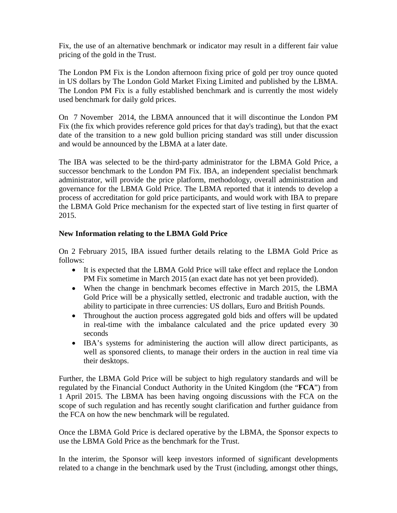Fix, the use of an alternative benchmark or indicator may result in a different fair value pricing of the gold in the Trust.

The London PM Fix is the London afternoon fixing price of gold per troy ounce quoted in US dollars by The London Gold Market Fixing Limited and published by the LBMA. The London PM Fix is a fully established benchmark and is currently the most widely used benchmark for daily gold prices.

On 7 November 2014, the LBMA announced that it will discontinue the London PM Fix (the fix which provides reference gold prices for that day's trading), but that the exact date of the transition to a new gold bullion pricing standard was still under discussion and would be announced by the LBMA at a later date.

The IBA was selected to be the third-party administrator for the LBMA Gold Price, a successor benchmark to the London PM Fix. IBA, an independent specialist benchmark administrator, will provide the price platform, methodology, overall administration and governance for the LBMA Gold Price. The LBMA reported that it intends to develop a process of accreditation for gold price participants, and would work with IBA to prepare the LBMA Gold Price mechanism for the expected start of live testing in first quarter of 2015.

## **New Information relating to the LBMA Gold Price**

On 2 February 2015, IBA issued further details relating to the LBMA Gold Price as follows:

- It is expected that the LBMA Gold Price will take effect and replace the London PM Fix sometime in March 2015 (an exact date has not yet been provided).
- When the change in benchmark becomes effective in March 2015, the LBMA Gold Price will be a physically settled, electronic and tradable auction, with the ability to participate in three currencies: US dollars, Euro and British Pounds.
- Throughout the auction process aggregated gold bids and offers will be updated in real-time with the imbalance calculated and the price updated every 30 seconds
- IBA's systems for administering the auction will allow direct participants, as well as sponsored clients, to manage their orders in the auction in real time via their desktops.

Further, the LBMA Gold Price will be subject to high regulatory standards and will be regulated by the Financial Conduct Authority in the United Kingdom (the "**FCA**") from 1 April 2015. The LBMA has been having ongoing discussions with the FCA on the scope of such regulation and has recently sought clarification and further guidance from the FCA on how the new benchmark will be regulated.

Once the LBMA Gold Price is declared operative by the LBMA, the Sponsor expects to use the LBMA Gold Price as the benchmark for the Trust.

In the interim, the Sponsor will keep investors informed of significant developments related to a change in the benchmark used by the Trust (including, amongst other things,